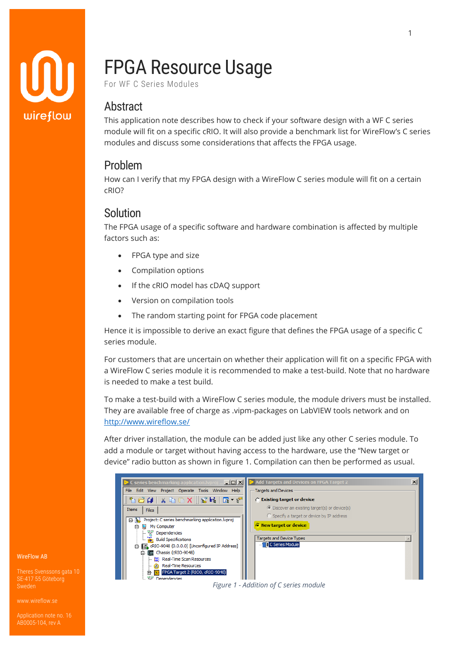

# FPGA Resource Usage

For WF C Series Modules

## Abstract

This application note describes how to check if your software design with a WF C series module will fit on a specific cRIO. It will also provide a benchmark list for WireFlow's C series modules and discuss some considerations that affects the FPGA usage.

## Problem

How can I verify that my FPGA design with a WireFlow C series module will fit on a certain cRIO?

## Solution

The FPGA usage of a specific software and hardware combination is affected by multiple factors such as:

- FPGA type and size
- Compilation options
- If the cRIO model has cDAQ support
- Version on compilation tools
- The random starting point for FPGA code placement

Hence it is impossible to derive an exact figure that defines the FPGA usage of a specific C series module.

For customers that are uncertain on whether their application will fit on a specific FPGA with a WireFlow C series module it is recommended to make a test-build. Note that no hardware is needed to make a test build.

To make a test-build with a WireFlow C series module, the module drivers must be installed. They are available free of charge as .vipm-packages on LabVIEW tools network and on <http://www.wireflow.se/>

After driver installation, the module can be added just like any other C series module. To add a module or target without having access to the hardware, use the "New target or device" radio button as shown in figure 1. Compilation can then be performed as usual.



WireFlow AB

Theres Svenssons gata 10 SE-417 55 Göteborg Sweden

[www.wireflow.se](https://www.wireflow.se/)